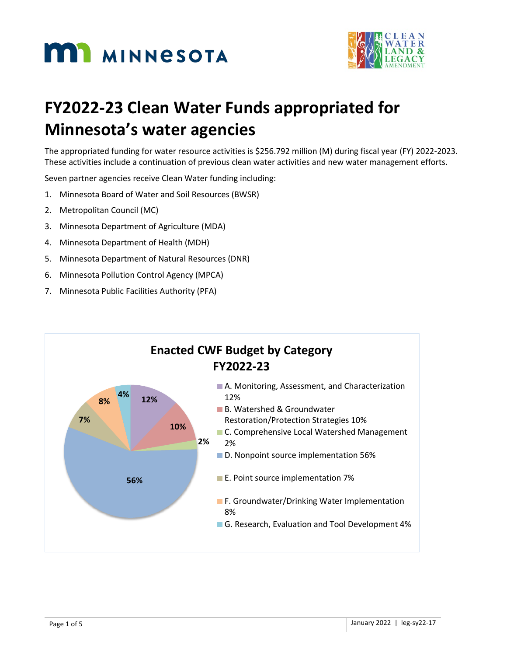



# **FY2022-23 Clean Water Funds appropriated for Minnesota's water agencies**

The appropriated funding for water resource activities is \$256.792 million (M) during fiscal year (FY) 2022-2023. These activities include a continuation of previous clean water activities and new water management efforts.

Seven partner agencies receive Clean Water funding including:

- 1. Minnesota Board of Water and Soil Resources (BWSR)
- 2. Metropolitan Council (MC)
- 3. Minnesota Department of Agriculture (MDA)
- 4. Minnesota Department of Health (MDH)
- 5. Minnesota Department of Natural Resources (DNR)
- 6. Minnesota Pollution Control Agency (MPCA)
- 7. Minnesota Public Facilities Authority (PFA)

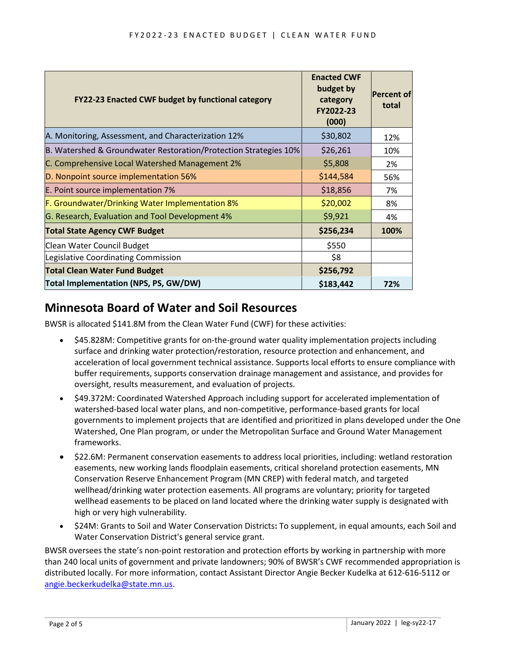| FY22-23 Enacted CWF budget by functional category                | <b>Enacted CWF</b><br>budget by<br>category<br>FY2022-23<br>(000) | <b>Percent of</b><br>total |
|------------------------------------------------------------------|-------------------------------------------------------------------|----------------------------|
| A. Monitoring, Assessment, and Characterization 12%              | \$30,802                                                          | 12%                        |
| B. Watershed & Groundwater Restoration/Protection Strategies 10% | \$26,261                                                          | 10%                        |
| C. Comprehensive Local Watershed Management 2%                   | \$5,808                                                           | 2%                         |
| D. Nonpoint source implementation 56%                            | \$144,584                                                         | 56%                        |
| E. Point source implementation 7%                                | \$18,856                                                          | 7%                         |
| F. Groundwater/Drinking Water Implementation 8%                  | \$20,002                                                          | 8%                         |
| G. Research, Evaluation and Tool Development 4%                  | \$9,921                                                           | 4%                         |
| <b>Total State Agency CWF Budget</b>                             | \$256,234                                                         | 100%                       |
| Clean Water Council Budget                                       | \$550                                                             |                            |
| Legislative Coordinating Commission                              | \$8                                                               |                            |
| <b>Total Clean Water Fund Budget</b>                             | \$256,792                                                         |                            |
| <b>Total Implementation (NPS, PS, GW/DW)</b>                     | \$183,442                                                         | 72%                        |

#### **Minnesota Board of Water and Soil Resources**

BWSR is allocated \$141.8M from the Clean Water Fund (CWF) for these activities:

- \$45.828M: Competitive grants for on-the-ground water quality implementation projects including surface and drinking water protection/restoration, resource protection and enhancement, and acceleration of local government technical assistance. Supports local efforts to ensure compliance with buffer requirements, supports conservation drainage management and assistance, and provides for oversight, results measurement, and evaluation of projects.
- \$49.372M: Coordinated Watershed Approach including support for accelerated implementation of watershed-based local water plans, and non-competitive, performance-based grants for local governments to implement projects that are identified and prioritized in plans developed under the One Watershed, One Plan program, or under the Metropolitan Surface and Ground Water Management frameworks.
- \$22.6M: Permanent conservation easements to address local priorities, including: wetland restoration easements, new working lands floodplain easements, critical shoreland protection easements, MN Conservation Reserve Enhancement Program (MN CREP) with federal match, and targeted wellhead/drinking water protection easements. All programs are voluntary; priority for targeted wellhead easements to be placed on land located where the drinking water supply is designated with high or very high vulnerability.
- \$24M: Grants to Soil and Water Conservation Districts**:** To supplement, in equal amounts, each Soil and Water Conservation District's general service grant.

BWSR oversees the state's non-point restoration and protection efforts by working in partnership with more than 240 local units of government and private landowners; 90% of BWSR's CWF recommended appropriation is distributed locally. For more information, contact Assistant Director Angie Becker Kudelka at 612-616-5112 or [angie.beckerkudelka@state.mn.us.](mailto:angie.beckerkudelka@state.mn.us)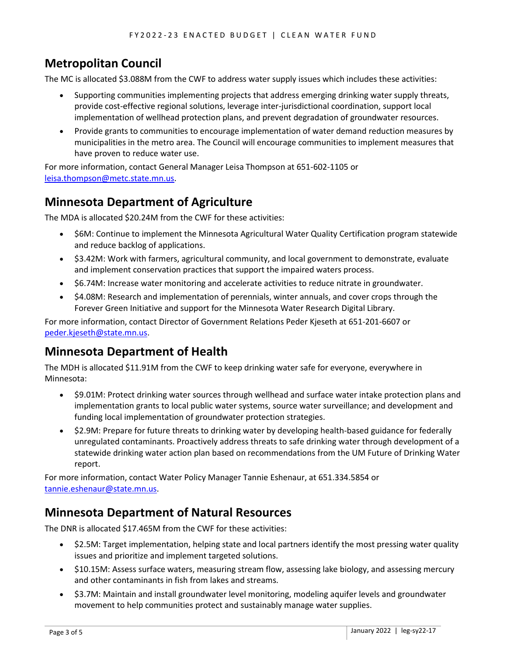# **Metropolitan Council**

The MC is allocated \$3.088M from the CWF to address water supply issues which includes these activities:

- Supporting communities implementing projects that address emerging drinking water supply threats, provide cost-effective regional solutions, leverage inter-jurisdictional coordination, support local implementation of wellhead protection plans, and prevent degradation of groundwater resources.
- Provide grants to communities to encourage implementation of water demand reduction measures by municipalities in the metro area. The Council will encourage communities to implement measures that have proven to reduce water use.

For more information, contact General Manager Leisa Thompson at 651-602-1105 or [leisa.thompson@metc.state.mn.us.](mailto:leisa.thompson@metc.state.mn.us)

### **Minnesota Department of Agriculture**

The MDA is allocated \$20.24M from the CWF for these activities:

- \$6M: Continue to implement the Minnesota Agricultural Water Quality Certification program statewide and reduce backlog of applications.
- \$3.42M: Work with farmers, agricultural community, and local government to demonstrate, evaluate and implement conservation practices that support the impaired waters process.
- \$6.74M: Increase water monitoring and accelerate activities to reduce nitrate in groundwater.
- \$4.08M: Research and implementation of perennials, winter annuals, and cover crops through the Forever Green Initiative and support for the Minnesota Water Research Digital Library.

For more information, contact Director of Government Relations Peder Kjeseth at 651-201-6607 or [peder.kjeseth@state.mn.us.](mailto:peder.kjeseth@state.mn.us)

### **Minnesota Department of Health**

The MDH is allocated \$11.91M from the CWF to keep drinking water safe for everyone, everywhere in Minnesota:

- \$9.01M: Protect drinking water sources through wellhead and surface water intake protection plans and implementation grants to local public water systems, source water surveillance; and development and funding local implementation of groundwater protection strategies.
- \$2.9M: Prepare for future threats to drinking water by developing health-based guidance for federally unregulated contaminants. Proactively address threats to safe drinking water through development of a statewide drinking water action plan based on recommendations from the UM Future of Drinking Water report.

For more information, contact Water Policy Manager Tannie Eshenaur, at 651.334.5854 or [tannie.eshenaur@state.mn.us.](mailto:tannie.eshenaur@state.mn.us)

#### **Minnesota Department of Natural Resources**

The DNR is allocated \$17.465M from the CWF for these activities:

- \$2.5M: Target implementation, helping state and local partners identify the most pressing water quality issues and prioritize and implement targeted solutions.
- \$10.15M: Assess surface waters, measuring stream flow, assessing lake biology, and assessing mercury and other contaminants in fish from lakes and streams.
- \$3.7M: Maintain and install groundwater level monitoring, modeling aquifer levels and groundwater movement to help communities protect and sustainably manage water supplies.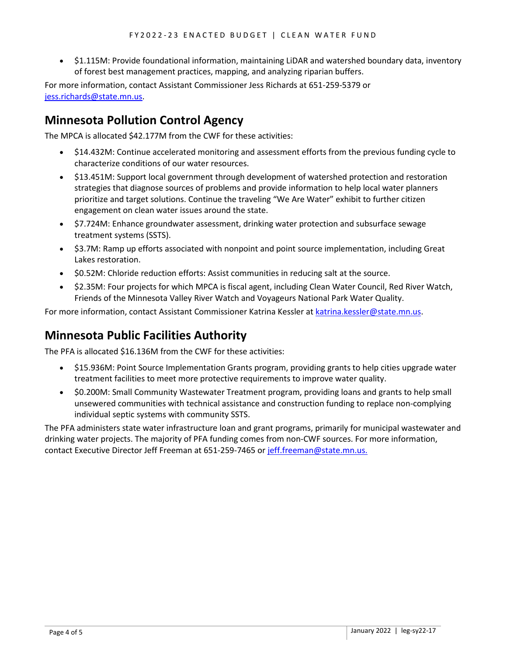• \$1.115M: Provide foundational information, maintaining LiDAR and watershed boundary data, inventory of forest best management practices, mapping, and analyzing riparian buffers.

For more information, contact Assistant Commissioner Jess Richards at 651-259-5379 or [jess.richards@state.mn.us.](mailto:jess.richards@state.mn.us)

## **Minnesota Pollution Control Agency**

The MPCA is allocated \$42.177M from the CWF for these activities:

- \$14.432M: Continue accelerated monitoring and assessment efforts from the previous funding cycle to characterize conditions of our water resources.
- \$13.451M: Support local government through development of watershed protection and restoration strategies that diagnose sources of problems and provide information to help local water planners prioritize and target solutions. Continue the traveling "We Are Water" exhibit to further citizen engagement on clean water issues around the state.
- \$7.724M: Enhance groundwater assessment, drinking water protection and subsurface sewage treatment systems (SSTS).
- \$3.7M: Ramp up efforts associated with nonpoint and point source implementation, including Great Lakes restoration.
- \$0.52M: Chloride reduction efforts: Assist communities in reducing salt at the source.
- \$2.35M: Four projects for which MPCA is fiscal agent, including Clean Water Council, Red River Watch, Friends of the Minnesota Valley River Watch and Voyageurs National Park Water Quality.

For more information, contact Assistant Commissioner Katrina Kessler at [katrina.kessler@state.mn.us.](mailto:katrina.kessler@state.mn.us)

### **Minnesota Public Facilities Authority**

The PFA is allocated \$16.136M from the CWF for these activities:

- \$15.936M: Point Source Implementation Grants program, providing grants to help cities upgrade water treatment facilities to meet more protective requirements to improve water quality.
- \$0.200M: Small Community Wastewater Treatment program, providing loans and grants to help small unsewered communities with technical assistance and construction funding to replace non-complying individual septic systems with community SSTS.

The PFA administers state water infrastructure loan and grant programs, primarily for municipal wastewater and drinking water projects. The majority of PFA funding comes from non-CWF sources. For more information, contact Executive Director Jeff Freeman at 651-259-7465 or [jeff.freeman@state.mn.us.](mailto:jeff.freeman@state.mn.us)